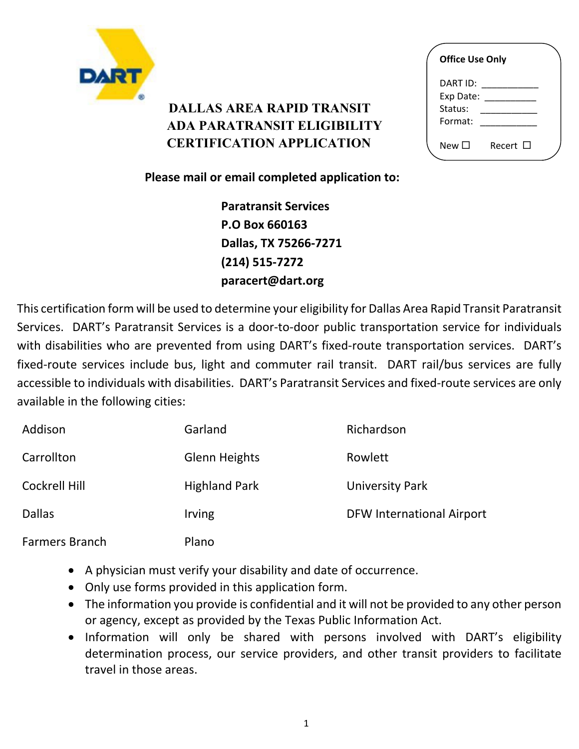

## **DALLAS AREA RAPID TRANSIT ADA PARATRANSIT ELIGIBILITY CERTIFICATION APPLICATION**

| <b>Office Use Only</b>                        |               |  |  |
|-----------------------------------------------|---------------|--|--|
| DART ID: I<br>Exp Date:<br>Status:<br>Format: |               |  |  |
| New □                                         | Recert $\Box$ |  |  |

**Please mail or email completed application to:**

 **Paratransit Services P.O Box 660163 Dallas, TX 75266-7271 (214) 515-7272 paracert@dart.org**

This certification form will be used to determine your eligibility for Dallas Area Rapid Transit Paratransit Services. DART's Paratransit Services is a door-to-door public transportation service for individuals with disabilities who are prevented from using DART's fixed-route transportation services. DART's fixed-route services include bus, light and commuter rail transit. DART rail/bus services are fully accessible to individuals with disabilities. DART's Paratransit Services and fixed-route services are only available in the following cities:

| Addison               | Garland              | Richardson                       |
|-----------------------|----------------------|----------------------------------|
| Carrollton            | <b>Glenn Heights</b> | Rowlett                          |
| <b>Cockrell Hill</b>  | <b>Highland Park</b> | University Park                  |
| <b>Dallas</b>         | <b>Irving</b>        | <b>DFW International Airport</b> |
| <b>Farmers Branch</b> | Plano                |                                  |

- A physician must verify your disability and date of occurrence.
- Only use forms provided in this application form.
- The information you provide is confidential and it will not be provided to any other person or agency, except as provided by the Texas Public Information Act.
- Information will only be shared with persons involved with DART's eligibility determination process, our service providers, and other transit providers to facilitate travel in those areas.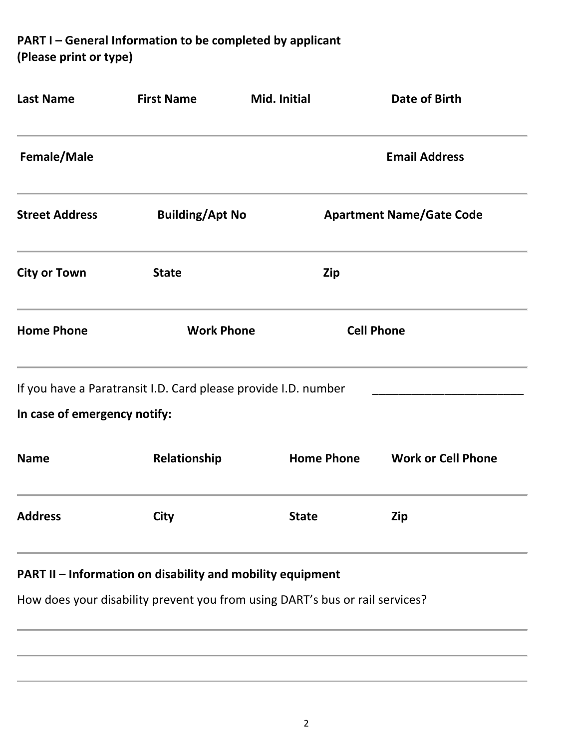**PART I – General Information to be completed by applicant (Please print or type)**

| <b>Last Name</b>             | <b>First Name</b>                                              | Mid. Initial                                                                 | Date of Birth                   |  |
|------------------------------|----------------------------------------------------------------|------------------------------------------------------------------------------|---------------------------------|--|
| Female/Male                  |                                                                |                                                                              | <b>Email Address</b>            |  |
| <b>Street Address</b>        | <b>Building/Apt No</b>                                         |                                                                              | <b>Apartment Name/Gate Code</b> |  |
| <b>City or Town</b>          | <b>State</b>                                                   | Zip                                                                          |                                 |  |
| <b>Home Phone</b>            | <b>Work Phone</b>                                              |                                                                              | <b>Cell Phone</b>               |  |
|                              | If you have a Paratransit I.D. Card please provide I.D. number |                                                                              |                                 |  |
| In case of emergency notify: |                                                                |                                                                              |                                 |  |
| <b>Name</b>                  | Relationship                                                   | <b>Home Phone</b>                                                            | <b>Work or Cell Phone</b>       |  |
| <b>Address</b>               | City                                                           | <b>State</b>                                                                 | Zip                             |  |
|                              | PART II - Information on disability and mobility equipment     |                                                                              |                                 |  |
|                              |                                                                | How does your disability prevent you from using DART's bus or rail services? |                                 |  |